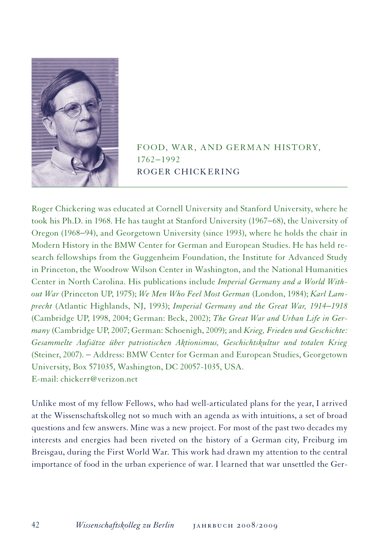

Food, War, and German History, 1762−1992 Roger Chickering

Roger Chickering was educated at Cornell University and Stanford University, where he took his Ph.D. in 1968. He has taught at Stanford University (1967−68), the University of Oregon (1968−94), and Georgetown University (since 1993), where he holds the chair in Modern History in the BMW Center for German and European Studies. He has held research fellowships from the Guggenheim Foundation, the Institute for Advanced Study in Princeton, the Woodrow Wilson Center in Washington, and the National Humanities Center in North Carolina. His publications include *Imperial Germany and a World Without War* (Princeton UP, 1975); *We Men Who Feel Most German* (London, 1984); *Karl Lamprecht* (Atlantic Highlands, NJ, 1993); *Imperial Germany and the Great War, 1914*−*1918* (Cambridge UP, 1998, 2004; German: Beck, 2002); *The Great War and Urban Life in Germany* (Cambridge UP, 2007; German: Schoenigh, 2009); and *Krieg, Frieden und Geschichte: Gesammelte Aufsätze über patriotischen Aktionismus, Geschichtskultur und totalen Krieg* (Steiner, 2007). − Address: BMW Center for German and European Studies, Georgetown University, Box 571035, Washington, DC 20057-1035, USA. E-mail: chickerr@verizon.net

Unlike most of my fellow Fellows, who had well-articulated plans for the year, I arrived at the Wissenschaftskolleg not so much with an agenda as with intuitions, a set of broad questions and few answers. Mine was a new project. For most of the past two decades my interests and energies had been riveted on the history of a German city, Freiburg im Breisgau, during the First World War. This work had drawn my attention to the central importance of food in the urban experience of war. I learned that war unsettled the Ger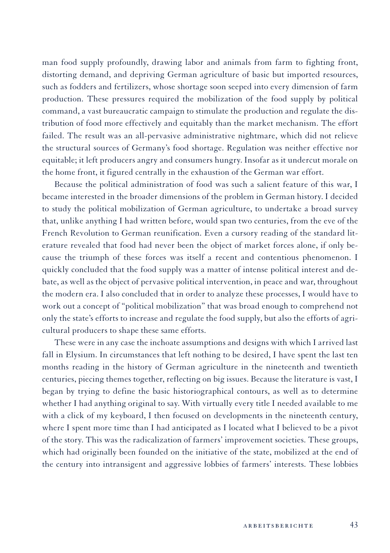man food supply profoundly, drawing labor and animals from farm to fighting front, distorting demand, and depriving German agriculture of basic but imported resources, such as fodders and fertilizers, whose shortage soon seeped into every dimension of farm production. These pressures required the mobilization of the food supply by political command, a vast bureaucratic campaign to stimulate the production and regulate the distribution of food more effectively and equitably than the market mechanism. The effort failed. The result was an all-pervasive administrative nightmare, which did not relieve the structural sources of Germany's food shortage. Regulation was neither effective nor equitable; it left producers angry and consumers hungry. Insofar as it undercut morale on the home front, it figured centrally in the exhaustion of the German war effort.

Because the political administration of food was such a salient feature of this war, I became interested in the broader dimensions of the problem in German history. I decided to study the political mobilization of German agriculture, to undertake a broad survey that, unlike anything I had written before, would span two centuries, from the eve of the French Revolution to German reunification. Even a cursory reading of the standard literature revealed that food had never been the object of market forces alone, if only because the triumph of these forces was itself a recent and contentious phenomenon. I quickly concluded that the food supply was a matter of intense political interest and debate, as well as the object of pervasive political intervention, in peace and war, throughout the modern era. I also concluded that in order to analyze these processes, I would have to work out a concept of "political mobilization" that was broad enough to comprehend not only the state's efforts to increase and regulate the food supply, but also the efforts of agricultural producers to shape these same efforts.

These were in any case the inchoate assumptions and designs with which I arrived last fall in Elysium. In circumstances that left nothing to be desired, I have spent the last ten months reading in the history of German agriculture in the nineteenth and twentieth centuries, piecing themes together, reflecting on big issues. Because the literature is vast, I began by trying to define the basic historiographical contours, as well as to determine whether I had anything original to say. With virtually every title I needed available to me with a click of my keyboard, I then focused on developments in the nineteenth century, where I spent more time than I had anticipated as I located what I believed to be a pivot of the story. This was the radicalization of farmers' improvement societies. These groups, which had originally been founded on the initiative of the state, mobilized at the end of the century into intransigent and aggressive lobbies of farmers' interests. These lobbies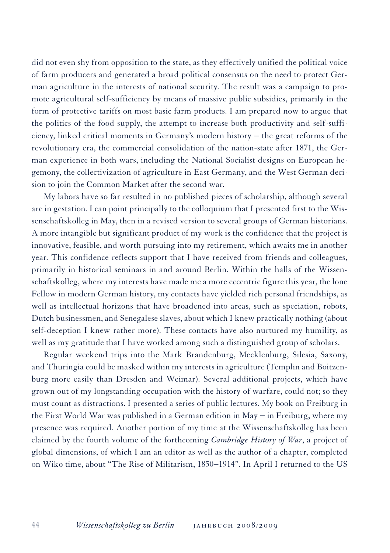did not even shy from opposition to the state, as they effectively unified the political voice of farm producers and generated a broad political consensus on the need to protect German agriculture in the interests of national security. The result was a campaign to promote agricultural self-sufficiency by means of massive public subsidies, primarily in the form of protective tariffs on most basic farm products. I am prepared now to argue that the politics of the food supply, the attempt to increase both productivity and self-sufficiency, linked critical moments in Germany's modern history − the great reforms of the revolutionary era, the commercial consolidation of the nation-state after 1871, the German experience in both wars, including the National Socialist designs on European hegemony, the collectivization of agriculture in East Germany, and the West German decision to join the Common Market after the second war.

My labors have so far resulted in no published pieces of scholarship, although several are in gestation. I can point principally to the colloquium that I presented first to the Wissenschaftskolleg in May, then in a revised version to several groups of German historians. A more intangible but significant product of my work is the confidence that the project is innovative, feasible, and worth pursuing into my retirement, which awaits me in another year. This confidence reflects support that I have received from friends and colleagues, primarily in historical seminars in and around Berlin. Within the halls of the Wissenschaftskolleg, where my interests have made me a more eccentric figure this year, the lone Fellow in modern German history, my contacts have yielded rich personal friendships, as well as intellectual horizons that have broadened into areas, such as speciation, robots, Dutch businessmen, and Senegalese slaves, about which I knew practically nothing (about self-deception I knew rather more). These contacts have also nurtured my humility, as well as my gratitude that I have worked among such a distinguished group of scholars.

Regular weekend trips into the Mark Brandenburg, Mecklenburg, Silesia, Saxony, and Thuringia could be masked within my interests in agriculture (Templin and Boitzenburg more easily than Dresden and Weimar). Several additional projects, which have grown out of my longstanding occupation with the history of warfare, could not; so they must count as distractions. I presented a series of public lectures. My book on Freiburg in the First World War was published in a German edition in May − in Freiburg, where my presence was required. Another portion of my time at the Wissenschaftskolleg has been claimed by the fourth volume of the forthcoming *Cambridge History of War*, a project of global dimensions, of which I am an editor as well as the author of a chapter, completed on Wiko time, about "The Rise of Militarism, 1850−1914". In April I returned to the US